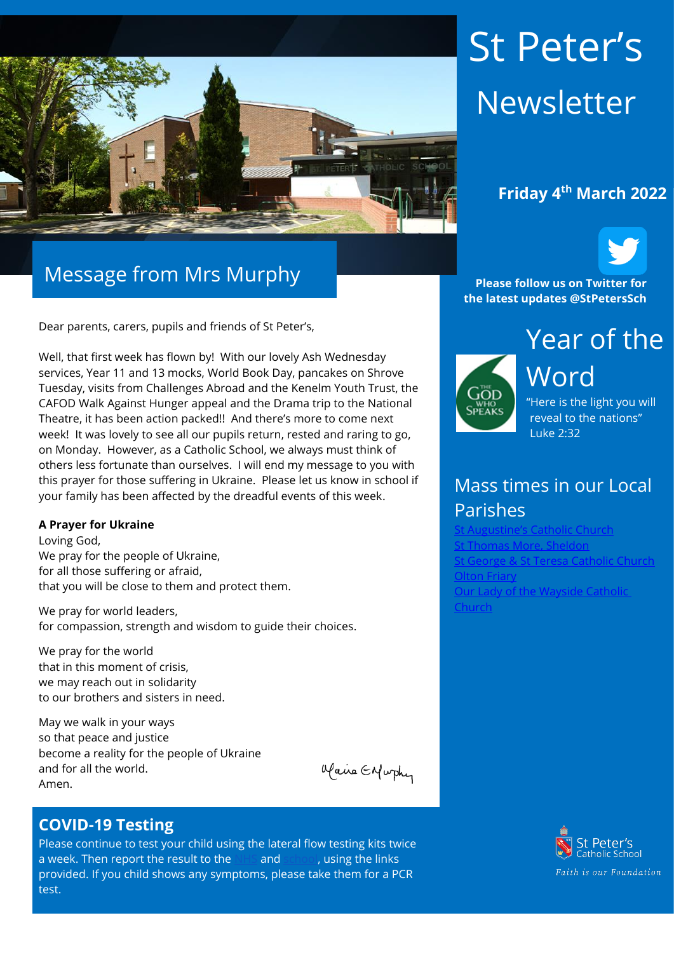

# Message from Mrs Murphy

Dear parents, carers, pupils and friends of St Peter's,

Well, that first week has flown by! With our lovely Ash Wednesday services, Year 11 and 13 mocks, World Book Day, pancakes on Shrove Tuesday, visits from Challenges Abroad and the Kenelm Youth Trust, the CAFOD Walk Against Hunger appeal and the Drama trip to the National Theatre, it has been action packed!! And there's more to come next week! It was lovely to see all our pupils return, rested and raring to go, on Monday. However, as a Catholic School, we always must think of others less fortunate than ourselves. I will end my message to you with this prayer for those suffering in Ukraine. Please let us know in school if your family has been affected by the dreadful events of this week.

#### **A Prayer for Ukraine**

Loving God, We pray for the people of Ukraine, for all those suffering or afraid, that you will be close to them and protect them.

We pray for world leaders, for compassion, strength and wisdom to guide their choices.

We pray for the world that in this moment of crisis, we may reach out in solidarity to our brothers and sisters in need.

May we walk in your ways so that peace and justice become a reality for the people of Ukraine and for all the world. Amen.

Maine Enfurthy

#### **COVID-19 Testing**

Please continue to test your child using the lateral flow testing kits twice a week. Then report the result to the [NHS](https://protect-eu.mimecast.com/s/FGTjCkrj2Uql2qC2sec8?domain=gov.uk) and [school,](https://protect-eu.mimecast.com/s/0JpMCl2kRSzGRzf9XFat?domain=forms.office.com) using the links provided. If you child shows any symptoms, please take them for a PCR test.

# St Peter's Newsletter



**Please follow us on Twitter for the latest updates @StPetersSch**



Word "Here is the light you will reveal to the nations" Luke 2:32

## Mass times in our Local Parishes

t Augustine's Catholic Church homas More, Sheldon [St George & St Teresa Catholic Church](https://www.catholicchurch.dorridge.uk/) [Olton Friary](https://www.oltonfriary.org.uk/) [Our Lady of the Wayside Catholic](http://ourladyofthewaysidechurchshirley.co.uk/)  [Church](http://ourladyofthewaysidechurchshirley.co.uk/)

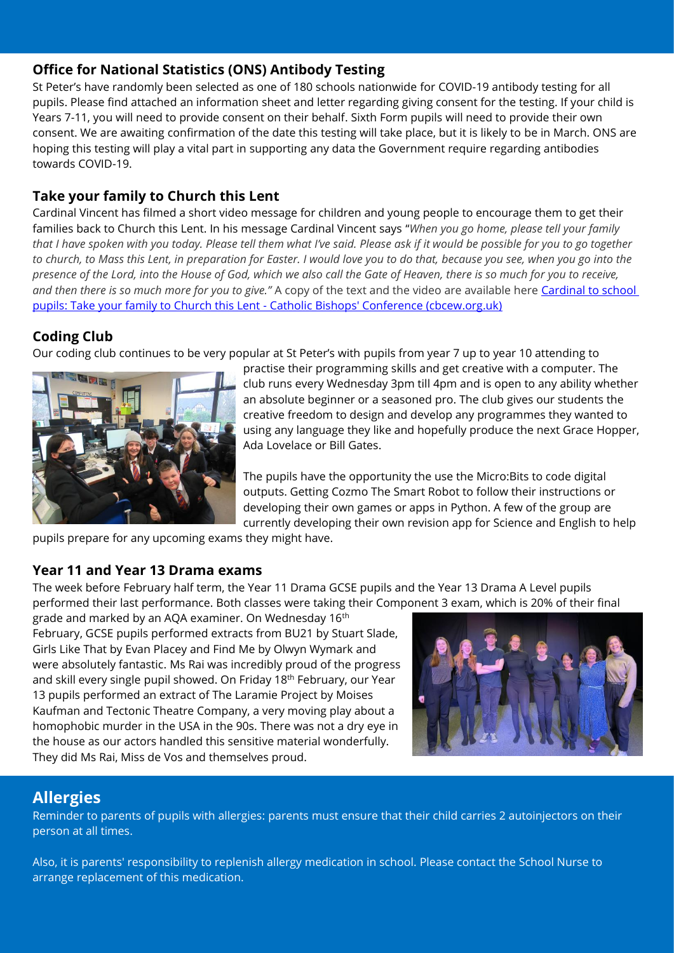#### **Office for National Statistics (ONS) Antibody Testing**

St Peter's have randomly been selected as one of 180 schools nationwide for COVID-19 antibody testing for all pupils. Please find attached an information sheet and letter regarding giving consent for the testing. If your child is Years 7-11, you will need to provide consent on their behalf. Sixth Form pupils will need to provide their own consent. We are awaiting confirmation of the date this testing will take place, but it is likely to be in March. ONS are hoping this testing will play a vital part in supporting any data the Government require regarding antibodies towards COVID-19.

#### **Take your family to Church this Lent**

Cardinal Vincent has filmed a short video message for children and young people to encourage them to get their families back to Church this Lent. In his message Cardinal Vincent says "*When you go home, please tell your family that I have spoken with you today. Please tell them what I've said. Please ask if it would be possible for you to go together to church, to Mass this Lent, in preparation for Easter. I would love you to do that, because you see, when you go into the presence of the Lord, into the House of God, which we also call the Gate of Heaven, there is so much for you to receive,*  and then there is so much more for you to give." A copy of the text and the video are available here *Cardinal to school* [pupils: Take your family to Church this Lent -](https://www.cbcew.org.uk/cardinal-to-school-pupils-take-your-family-to-church-this-lent/?utm_source=Newsletter&utm_medium=Email&utm_campaign=Newsletter+Feb+2022) Catholic Bishops' Conference (cbcew.org.uk)

#### **Coding Club**

Our coding club continues to be very popular at St Peter's with pupils from year 7 up to year 10 attending to



practise their programming skills and get creative with a computer. The club runs every Wednesday 3pm till 4pm and is open to any ability whether an absolute beginner or a seasoned pro. The club gives our students the creative freedom to design and develop any programmes they wanted to using any language they like and hopefully produce the next Grace Hopper, Ada Lovelace or Bill Gates.

The pupils have the opportunity the use the Micro:Bits to code digital outputs. Getting Cozmo The Smart Robot to follow their instructions or developing their own games or apps in Python. A few of the group are currently developing their own revision app for Science and English to help

pupils prepare for any upcoming exams they might have.

#### **Year 11 and Year 13 Drama exams**

The week before February half term, the Year 11 Drama GCSE pupils and the Year 13 Drama A Level pupils performed their last performance. Both classes were taking their Component 3 exam, which is 20% of their final

grade and marked by an AQA examiner. On Wednesday 16th February, GCSE pupils performed extracts from BU21 by Stuart Slade, Girls Like That by Evan Placey and Find Me by Olwyn Wymark and were absolutely fantastic. Ms Rai was incredibly proud of the progress and skill every single pupil showed. On Friday 18<sup>th</sup> February, our Year 13 pupils performed an extract of The Laramie Project by Moises Kaufman and Tectonic Theatre Company, a very moving play about a homophobic murder in the USA in the 90s. There was not a dry eye in the house as our actors handled this sensitive material wonderfully. They did Ms Rai, Miss de Vos and themselves proud.



### **Allergies**

Reminder to parents of pupils with allergies: parents must ensure that their child carries 2 autoinjectors on their person at all times.

Also, it is parents' responsibility to replenish allergy medication in school. Please contact the School Nurse to arrange replacement of this medication.